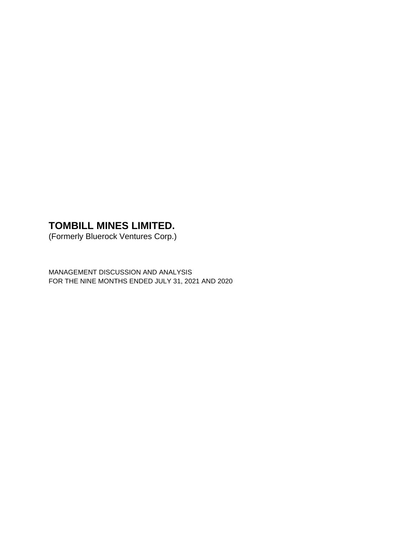# **TOMBILL MINES LIMITED.**

(Formerly Bluerock Ventures Corp.)

MANAGEMENT DISCUSSION AND ANALYSIS FOR THE NINE MONTHS ENDED JULY 31, 2021 AND 2020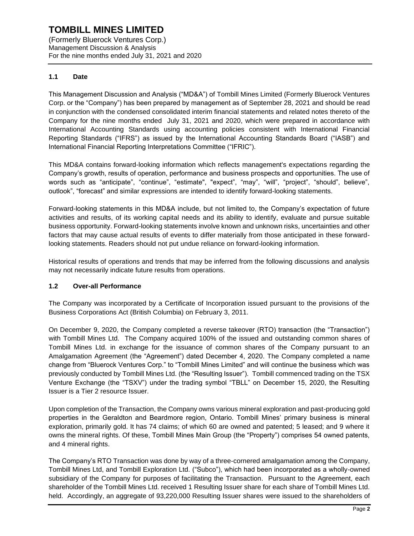## **TOMBILL MINES LIMITED**

(Formerly Bluerock Ventures Corp.) Management Discussion & Analysis For the nine months ended July 31, 2021 and 2020

## **1.1 Date**

This Management Discussion and Analysis ("MD&A") of Tombill Mines Limited (Formerly Bluerock Ventures Corp. or the "Company") has been prepared by management as of September 28, 2021 and should be read in conjunction with the condensed consolidated interim financial statements and related notes thereto of the Company for the nine months ended July 31, 2021 and 2020, which were prepared in accordance with International Accounting Standards using accounting policies consistent with International Financial Reporting Standards ("IFRS") as issued by the International Accounting Standards Board ("IASB") and International Financial Reporting Interpretations Committee ("IFRIC").

This MD&A contains forward-looking information which reflects management's expectations regarding the Company's growth, results of operation, performance and business prospects and opportunities. The use of words such as "anticipate", "continue", "estimate", "expect", "may", "will", "project", "should", believe", outlook", "forecast" and similar expressions are intended to identify forward-looking statements.

Forward-looking statements in this MD&A include, but not limited to, the Company's expectation of future activities and results, of its working capital needs and its ability to identify, evaluate and pursue suitable business opportunity. Forward-looking statements involve known and unknown risks, uncertainties and other factors that may cause actual results of events to differ materially from those anticipated in these forwardlooking statements. Readers should not put undue reliance on forward-looking information.

Historical results of operations and trends that may be inferred from the following discussions and analysis may not necessarily indicate future results from operations.

## **1.2 Over-all Performance**

The Company was incorporated by a Certificate of Incorporation issued pursuant to the provisions of the Business Corporations Act (British Columbia) on February 3, 2011.

On December 9, 2020, the Company completed a reverse takeover (RTO) transaction (the "Transaction") with Tombill Mines Ltd. The Company acquired 100% of the issued and outstanding common shares of Tombill Mines Ltd. in exchange for the issuance of common shares of the Company pursuant to an Amalgamation Agreement (the "Agreement") dated December 4, 2020. The Company completed a name change from "Bluerock Ventures Corp." to "Tombill Mines Limited" and will continue the business which was previously conducted by Tombill Mines Ltd. (the "Resulting Issuer"). Tombill commenced trading on the TSX Venture Exchange (the "TSXV") under the trading symbol "TBLL" on December 15, 2020, the Resulting Issuer is a Tier 2 resource Issuer.

Upon completion of the Transaction, the Company owns various mineral exploration and past-producing gold properties in the Geraldton and Beardmore region, Ontario. Tombill Mines' primary business is mineral exploration, primarily gold. It has 74 claims; of which 60 are owned and patented; 5 leased; and 9 where it owns the mineral rights. Of these, Tombill Mines Main Group (the "Property") comprises 54 owned patents, and 4 mineral rights.

The Company's RTO Transaction was done by way of a three-cornered amalgamation among the Company, Tombill Mines Ltd, and Tombill Exploration Ltd. ("Subco"), which had been incorporated as a wholly-owned subsidiary of the Company for purposes of facilitating the Transaction. Pursuant to the Agreement, each shareholder of the Tombill Mines Ltd. received 1 Resulting Issuer share for each share of Tombill Mines Ltd. held. Accordingly, an aggregate of 93,220,000 Resulting Issuer shares were issued to the shareholders of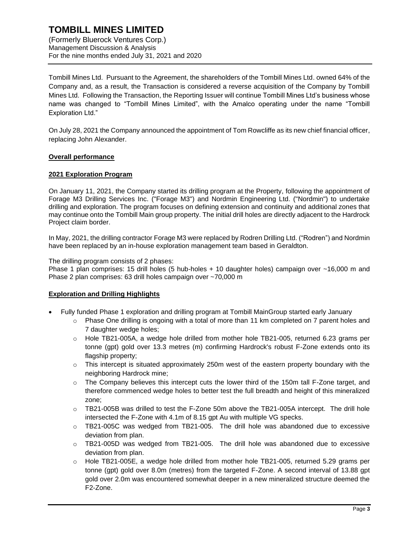## **TOMBILL MINES LIMITED**

(Formerly Bluerock Ventures Corp.) Management Discussion & Analysis For the nine months ended July 31, 2021 and 2020

Tombill Mines Ltd. Pursuant to the Agreement, the shareholders of the Tombill Mines Ltd. owned 64% of the Company and, as a result, the Transaction is considered a reverse acquisition of the Company by Tombill Mines Ltd. Following the Transaction, the Reporting Issuer will continue Tombill Mines Ltd's business whose name was changed to "Tombill Mines Limited", with the Amalco operating under the name "Tombill Exploration Ltd."

On July 28, 2021 the Company announced the appointment of Tom Rowcliffe as its new chief financial officer, replacing John Alexander.

## **Overall performance**

## **2021 Exploration Program**

On January 11, 2021, the Company started its drilling program at the Property, following the appointment of Forage M3 Drilling Services Inc. ("Forage M3") and Nordmin Engineering Ltd. ("Nordmin") to undertake drilling and exploration. The program focuses on defining extension and continuity and additional zones that may continue onto the Tombill Main group property. The initial drill holes are directly adjacent to the Hardrock Project claim border.

In May, 2021, the drilling contractor Forage M3 were replaced by Rodren Drilling Ltd. ("Rodren") and Nordmin have been replaced by an in-house exploration management team based in Geraldton.

The drilling program consists of 2 phases:

Phase 1 plan comprises: 15 drill holes (5 hub-holes + 10 daughter holes) campaign over ~16,000 m and Phase 2 plan comprises: 63 drill holes campaign over ~70,000 m

## **Exploration and Drilling Highlights**

- Fully funded Phase 1 exploration and drilling program at Tombill MainGroup started early January
	- $\circ$  Phase One drilling is ongoing with a total of more than 11 km completed on 7 parent holes and 7 daughter wedge holes;
	- o Hole TB21-005A, a wedge hole drilled from mother hole TB21-005, returned 6.23 grams per tonne (gpt) gold over 13.3 metres (m) confirming Hardrock's robust F-Zone extends onto its flagship property;
	- $\circ$  This intercept is situated approximately 250m west of the eastern property boundary with the neighboring Hardrock mine;
	- $\circ$  The Company believes this intercept cuts the lower third of the 150m tall F-Zone target, and therefore commenced wedge holes to better test the full breadth and height of this mineralized zone;
	- o TB21-005B was drilled to test the F-Zone 50m above the TB21-005A intercept. The drill hole intersected the F-Zone with 4.1m of 8.15 gpt Au with multiple VG specks.
	- $\circ$  TB21-005C was wedged from TB21-005. The drill hole was abandoned due to excessive deviation from plan.
	- $\circ$  TB21-005D was wedged from TB21-005. The drill hole was abandoned due to excessive deviation from plan.
	- o Hole TB21-005E, a wedge hole drilled from mother hole TB21-005, returned 5.29 grams per tonne (gpt) gold over 8.0m (metres) from the targeted F-Zone. A second interval of 13.88 gpt gold over 2.0m was encountered somewhat deeper in a new mineralized structure deemed the F2-Zone.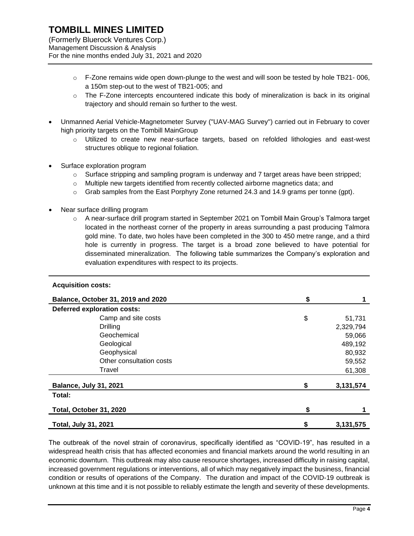(Formerly Bluerock Ventures Corp.) Management Discussion & Analysis For the nine months ended July 31, 2021 and 2020

- $\circ$  F-Zone remains wide open down-plunge to the west and will soon be tested by hole TB21-006, a 150m step-out to the west of TB21-005; and
- $\circ$  The F-Zone intercepts encountered indicate this body of mineralization is back in its original trajectory and should remain so further to the west.
- Unmanned Aerial Vehicle-Magnetometer Survey ("UAV-MAG Survey") carried out in February to cover high priority targets on the Tombill MainGroup
	- $\circ$  Utilized to create new near-surface targets, based on refolded lithologies and east-west structures oblique to regional foliation.
- Surface exploration program
	- $\circ$  Surface stripping and sampling program is underway and 7 target areas have been stripped;
	- o Multiple new targets identified from recently collected airborne magnetics data; and
	- $\circ$  Grab samples from the East Porphyry Zone returned 24.3 and 14.9 grams per tonne (gpt).
- Near surface drilling program
	- o A near-surface drill program started in September 2021 on Tombill Main Group's Talmora target located in the northeast corner of the property in areas surrounding a past producing Talmora gold mine. To date, two holes have been completed in the 300 to 450 metre range, and a third hole is currently in progress. The target is a broad zone believed to have potential for disseminated mineralization. The following table summarizes the Company's exploration and evaluation expenditures with respect to its projects.

#### **Acquisition costs:**

| Balance, October 31, 2019 and 2020 | \$ |           |
|------------------------------------|----|-----------|
| Deferred exploration costs:        |    |           |
| Camp and site costs                | \$ | 51,731    |
| <b>Drilling</b>                    |    | 2,329,794 |
| Geochemical                        |    | 59,066    |
| Geological                         |    | 489,192   |
| Geophysical                        |    | 80,932    |
| Other consultation costs           |    | 59,552    |
| Travel                             |    | 61,308    |
| <b>Balance, July 31, 2021</b>      | S  | 3,131,574 |
| Total:                             |    |           |
| Total, October 31, 2020            | \$ |           |
| <b>Total, July 31, 2021</b>        | \$ | 3,131,575 |

The outbreak of the novel strain of coronavirus, specifically identified as "COVID-19", has resulted in a widespread health crisis that has affected economies and financial markets around the world resulting in an economic downturn. This outbreak may also cause resource shortages, increased difficulty in raising capital, increased government regulations or interventions, all of which may negatively impact the business, financial condition or results of operations of the Company. The duration and impact of the COVID-19 outbreak is unknown at this time and it is not possible to reliably estimate the length and severity of these developments.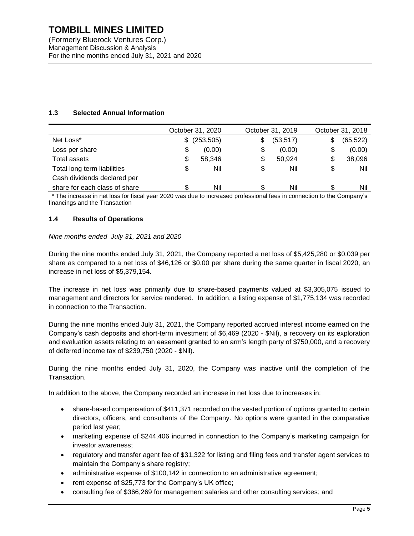## **1.3 Selected Annual Information**

|                               | October 31, 2020 |    | October 31, 2019 |    | October 31, 2018 |
|-------------------------------|------------------|----|------------------|----|------------------|
| Net Loss*                     | \$<br>(253, 505) | \$ | (53, 517)        | \$ | (65, 522)        |
| Loss per share                | \$<br>(0.00)     | \$ | (0.00)           | S  | (0.00)           |
| Total assets                  | \$<br>58.346     | S  | 50,924           | S  | 38,096           |
| Total long term liabilities   | \$<br>Nil        | \$ | Nil              | \$ | Nil              |
| Cash dividends declared per   |                  |    |                  |    |                  |
| share for each class of share | \$<br>Nil        | S  | Nil              | \$ | Nil              |

\* The increase in net loss for fiscal year 2020 was due to increased professional fees in connection to the Company's financings and the Transaction

## **1.4 Results of Operations**

## *Nine months ended July 31, 2021 and 2020*

During the nine months ended July 31, 2021, the Company reported a net loss of \$5,425,280 or \$0.039 per share as compared to a net loss of \$46,126 or \$0.00 per share during the same quarter in fiscal 2020, an increase in net loss of \$5,379,154.

The increase in net loss was primarily due to share-based payments valued at \$3,305,075 issued to management and directors for service rendered. In addition, a listing expense of \$1,775,134 was recorded in connection to the Transaction.

During the nine months ended July 31, 2021, the Company reported accrued interest income earned on the Company's cash deposits and short-term investment of \$6,469 (2020 - \$Nil), a recovery on its exploration and evaluation assets relating to an easement granted to an arm's length party of \$750,000, and a recovery of deferred income tax of \$239,750 (2020 - \$Nil).

During the nine months ended July 31, 2020, the Company was inactive until the completion of the Transaction.

In addition to the above, the Company recorded an increase in net loss due to increases in:

- share-based compensation of \$411,371 recorded on the vested portion of options granted to certain directors, officers, and consultants of the Company. No options were granted in the comparative period last year;
- marketing expense of \$244,406 incurred in connection to the Company's marketing campaign for investor awareness;
- regulatory and transfer agent fee of \$31,322 for listing and filing fees and transfer agent services to maintain the Company's share registry;
- administrative expense of \$100,142 in connection to an administrative agreement;
- rent expense of \$25,773 for the Company's UK office;
- consulting fee of \$366,269 for management salaries and other consulting services; and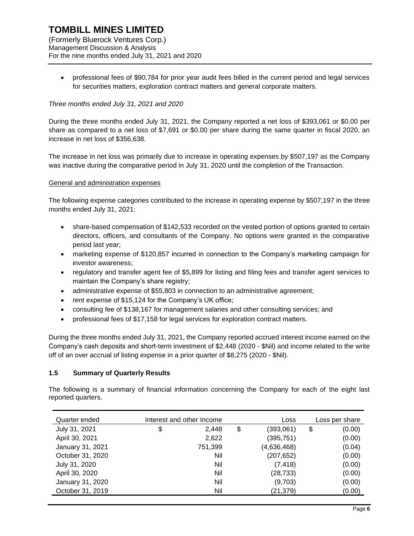• professional fees of \$90,784 for prior year audit fees billed in the current period and legal services for securities matters, exploration contract matters and general corporate matters.

## *Three months ended July 31, 2021 and 2020*

During the three months ended July 31, 2021, the Company reported a net loss of \$393,061 or \$0.00 per share as compared to a net loss of \$7,691 or \$0.00 per share during the same quarter in fiscal 2020, an increase in net loss of \$356,638.

The increase in net loss was primarily due to increase in operating expenses by \$507,197 as the Company was inactive during the comparative period in July 31, 2020 until the completion of the Transaction.

#### General and administration expenses

The following expense categories contributed to the increase in operating expense by \$507,197 in the three months ended July 31, 2021:

- share-based compensation of \$142,533 recorded on the vested portion of options granted to certain directors, officers, and consultants of the Company. No options were granted in the comparative period last year;
- marketing expense of \$120,857 incurred in connection to the Company's marketing campaign for investor awareness;
- regulatory and transfer agent fee of \$5,899 for listing and filing fees and transfer agent services to maintain the Company's share registry;
- administrative expense of \$55,803 in connection to an administrative agreement;
- rent expense of \$15,124 for the Company's UK office;
- consulting fee of \$138,167 for management salaries and other consulting services; and
- professional fees of \$17,158 for legal services for exploration contract matters.

During the three months ended July 31, 2021, the Company reported accrued interest income earned on the Company's cash deposits and short-term investment of \$2,448 (2020 - \$Nil) and income related to the write off of an over accrual of listing expense in a prior quarter of \$8,275 (2020 - \$Nil).

## **1.5 Summary of Quarterly Results**

The following is a summary of financial information concerning the Company for each of the eight last reported quarters.

| Quarter ended    | Interest and other Income | Loss            | Loss per share |
|------------------|---------------------------|-----------------|----------------|
| July 31, 2021    | \$<br>2,448               | \$<br>(393,061) | \$<br>(0.00)   |
| April 30, 2021   | 2,622                     | (395, 751)      | (0.00)         |
| January 31, 2021 | 751,399                   | (4,636,468)     | (0.04)         |
| October 31, 2020 | Nil                       | (207, 652)      | (0.00)         |
| July 31, 2020    | Nil                       | (7, 418)        | (0.00)         |
| April 30, 2020   | Nil                       | (28, 733)       | (0.00)         |
| January 31, 2020 | Nil                       | (9,703)         | (0.00)         |
| October 31, 2019 | Nil                       | (21,379)        | (0.00)         |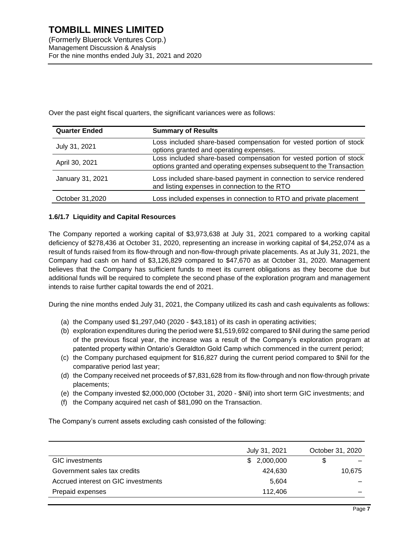| <b>Quarter Ended</b> | <b>Summary of Results</b>                                                                                                                  |
|----------------------|--------------------------------------------------------------------------------------------------------------------------------------------|
| July 31, 2021        | Loss included share-based compensation for vested portion of stock<br>options granted and operating expenses.                              |
| April 30, 2021       | Loss included share-based compensation for vested portion of stock<br>options granted and operating expenses subsequent to the Transaction |
| January 31, 2021     | Loss included share-based payment in connection to service rendered<br>and listing expenses in connection to the RTO                       |
| October 31,2020      | Loss included expenses in connection to RTO and private placement                                                                          |

Over the past eight fiscal quarters, the significant variances were as follows:

#### **1.6/1.7 Liquidity and Capital Resources**

The Company reported a working capital of \$3,973,638 at July 31, 2021 compared to a working capital deficiency of \$278,436 at October 31, 2020, representing an increase in working capital of \$4,252,074 as a result of funds raised from its flow-through and non-flow-through private placements. As at July 31, 2021, the Company had cash on hand of \$3,126,829 compared to \$47,670 as at October 31, 2020. Management believes that the Company has sufficient funds to meet its current obligations as they become due but additional funds will be required to complete the second phase of the exploration program and management intends to raise further capital towards the end of 2021.

During the nine months ended July 31, 2021, the Company utilized its cash and cash equivalents as follows:

- (a) the Company used  $$1,297,040$  (2020  $$43,181$ ) of its cash in operating activities;
- (b) exploration expenditures during the period were \$1,519,692 compared to \$Nil during the same period of the previous fiscal year, the increase was a result of the Company's exploration program at patented property within Ontario's Geraldton Gold Camp which commenced in the current period;
- (c) the Company purchased equipment for \$16,827 during the current period compared to \$Nil for the comparative period last year;
- (d) the Company received net proceeds of \$7,831,628 from its flow-through and non flow-through private placements;
- (e) the Company invested \$2,000,000 (October 31, 2020 \$Nil) into short term GIC investments; and
- (f) the Company acquired net cash of \$81,090 on the Transaction.

The Company's current assets excluding cash consisted of the following:

|                                     | July 31, 2021 | October 31, 2020 |  |  |
|-------------------------------------|---------------|------------------|--|--|
| <b>GIC</b> investments              | \$2,000,000   | S                |  |  |
| Government sales tax credits        | 424,630       | 10.675           |  |  |
| Accrued interest on GIC investments | 5.604         |                  |  |  |
| Prepaid expenses                    | 112,406       |                  |  |  |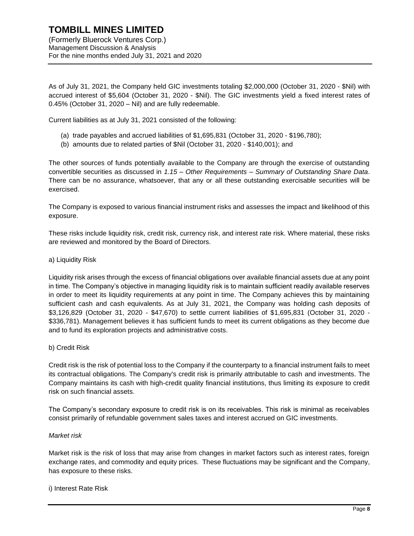As of July 31, 2021, the Company held GIC investments totaling \$2,000,000 (October 31, 2020 - \$Nil) with accrued interest of \$5,604 (October 31, 2020 - \$Nil). The GIC investments yield a fixed interest rates of 0.45% (October 31, 2020 – Nil) and are fully redeemable.

Current liabilities as at July 31, 2021 consisted of the following:

- (a) trade payables and accrued liabilities of \$1,695,831 (October 31, 2020 \$196,780);
- (b) amounts due to related parties of \$Nil (October 31, 2020 \$140,001); and

The other sources of funds potentially available to the Company are through the exercise of outstanding convertible securities as discussed in *1.15 – Other Requirements – Summary of Outstanding Share Data*. There can be no assurance, whatsoever, that any or all these outstanding exercisable securities will be exercised.

The Company is exposed to various financial instrument risks and assesses the impact and likelihood of this exposure.

These risks include liquidity risk, credit risk, currency risk, and interest rate risk. Where material, these risks are reviewed and monitored by the Board of Directors.

## a) Liquidity Risk

Liquidity risk arises through the excess of financial obligations over available financial assets due at any point in time. The Company's objective in managing liquidity risk is to maintain sufficient readily available reserves in order to meet its liquidity requirements at any point in time. The Company achieves this by maintaining sufficient cash and cash equivalents. As at July 31, 2021, the Company was holding cash deposits of \$3,126,829 (October 31, 2020 - \$47,670) to settle current liabilities of \$1,695,831 (October 31, 2020 - \$336,781). Management believes it has sufficient funds to meet its current obligations as they become due and to fund its exploration projects and administrative costs.

#### b) Credit Risk

Credit risk is the risk of potential loss to the Company if the counterparty to a financial instrument fails to meet its contractual obligations. The Company's credit risk is primarily attributable to cash and investments. The Company maintains its cash with high-credit quality financial institutions, thus limiting its exposure to credit risk on such financial assets.

The Company's secondary exposure to credit risk is on its receivables. This risk is minimal as receivables consist primarily of refundable government sales taxes and interest accrued on GIC investments.

#### *Market risk*

Market risk is the risk of loss that may arise from changes in market factors such as interest rates, foreign exchange rates, and commodity and equity prices. These fluctuations may be significant and the Company, has exposure to these risks.

#### i) Interest Rate Risk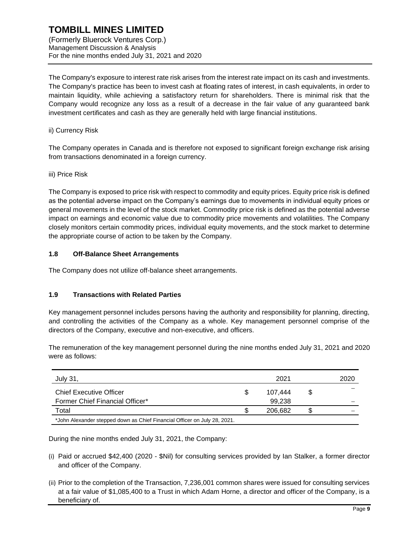**TOMBILL MINES LIMITED** (Formerly Bluerock Ventures Corp.) Management Discussion & Analysis For the nine months ended July 31, 2021 and 2020

The Company's exposure to interest rate risk arises from the interest rate impact on its cash and investments. The Company's practice has been to invest cash at floating rates of interest, in cash equivalents, in order to maintain liquidity, while achieving a satisfactory return for shareholders. There is minimal risk that the Company would recognize any loss as a result of a decrease in the fair value of any guaranteed bank investment certificates and cash as they are generally held with large financial institutions.

## ii) Currency Risk

The Company operates in Canada and is therefore not exposed to significant foreign exchange risk arising from transactions denominated in a foreign currency.

iii) Price Risk

The Company is exposed to price risk with respect to commodity and equity prices. Equity price risk is defined as the potential adverse impact on the Company's earnings due to movements in individual equity prices or general movements in the level of the stock market. Commodity price risk is defined as the potential adverse impact on earnings and economic value due to commodity price movements and volatilities. The Company closely monitors certain commodity prices, individual equity movements, and the stock market to determine the appropriate course of action to be taken by the Company.

## **1.8 Off-Balance Sheet Arrangements**

The Company does not utilize off-balance sheet arrangements.

## **1.9 Transactions with Related Parties**

Key management personnel includes persons having the authority and responsibility for planning, directing, and controlling the activities of the Company as a whole. Key management personnel comprise of the directors of the Company, executive and non-executive, and officers.

The remuneration of the key management personnel during the nine months ended July 31, 2021 and 2020 were as follows:

| July 31                                                                   | 2021    |   | 2020 |
|---------------------------------------------------------------------------|---------|---|------|
| <b>Chief Executive Officer</b>                                            | 107.444 | S |      |
| Former Chief Financial Officer*                                           | 99.238  |   |      |
| Total                                                                     | 206.682 |   |      |
| *John Alexander stepped down as Chief Financial Officer on July 28, 2021. |         |   |      |

During the nine months ended July 31, 2021, the Company:

- (i) Paid or accrued \$42,400 (2020 \$Nil) for consulting services provided by Ian Stalker, a former director and officer of the Company.
- (ii) Prior to the completion of the Transaction, 7,236,001 common shares were issued for consulting services at a fair value of \$1,085,400 to a Trust in which Adam Horne, a director and officer of the Company, is a beneficiary of.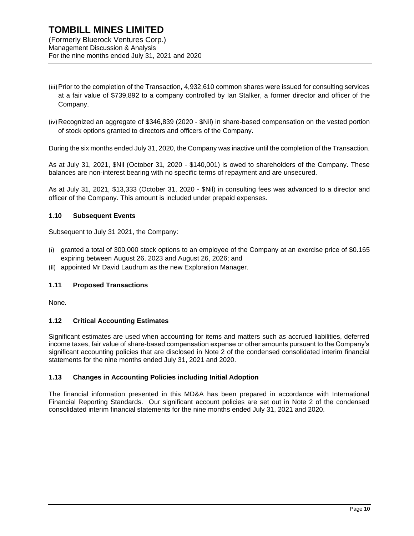- (iii)Prior to the completion of the Transaction, 4,932,610 common shares were issued for consulting services at a fair value of \$739,892 to a company controlled by Ian Stalker, a former director and officer of the Company.
- (iv)Recognized an aggregate of \$346,839 (2020 \$Nil) in share-based compensation on the vested portion of stock options granted to directors and officers of the Company.

During the six months ended July 31, 2020, the Company was inactive until the completion of the Transaction.

As at July 31, 2021, \$Nil (October 31, 2020 - \$140,001) is owed to shareholders of the Company. These balances are non-interest bearing with no specific terms of repayment and are unsecured.

As at July 31, 2021, \$13,333 (October 31, 2020 - \$Nil) in consulting fees was advanced to a director and officer of the Company. This amount is included under prepaid expenses.

## **1.10 Subsequent Events**

Subsequent to July 31 2021, the Company:

- (i) granted a total of 300,000 stock options to an employee of the Company at an exercise price of \$0.165 expiring between August 26, 2023 and August 26, 2026; and
- (ii) appointed Mr David Laudrum as the new Exploration Manager.

#### **1.11 Proposed Transactions**

None.

#### **1.12 Critical Accounting Estimates**

Significant estimates are used when accounting for items and matters such as accrued liabilities, deferred income taxes, fair value of share-based compensation expense or other amounts pursuant to the Company's significant accounting policies that are disclosed in Note 2 of the condensed consolidated interim financial statements for the nine months ended July 31, 2021 and 2020.

#### **1.13 Changes in Accounting Policies including Initial Adoption**

The financial information presented in this MD&A has been prepared in accordance with International Financial Reporting Standards. Our significant account policies are set out in Note 2 of the condensed consolidated interim financial statements for the nine months ended July 31, 2021 and 2020.